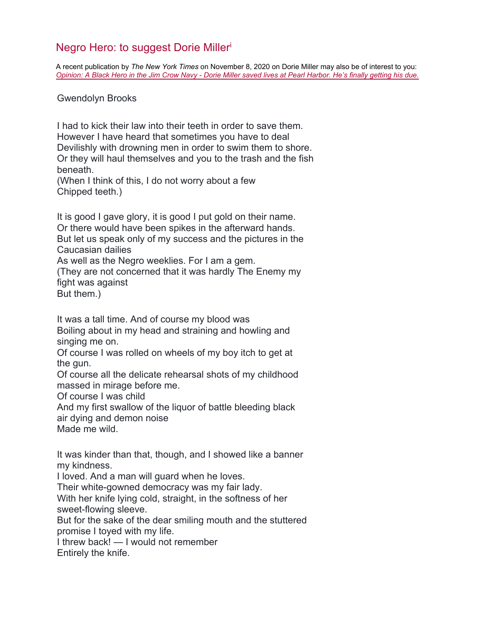## Negro Hero: to suggest Dorie Miller<sup>i</sup>

A recent publication by *The New York Times* on November 8, 2020 on Dorie Miller may also be of interest to you: *Opinion: [A Black Hero in the Jim Crow Navy - Dorie Miller saved lives at Pearl Harbor. He's finally getting his due.](https://www.nytimes.com/2020/11/07/opinion/sunday/dorie-miller-navy-ship.html?searchResultPosition=1)*

Gwendolyn Brooks

I had to kick their law into their teeth in order to save them. However I have heard that sometimes you have to deal Devilishly with drowning men in order to swim them to shore. Or they will haul themselves and you to the trash and the fish beneath.

(When I think of this, I do not worry about a few Chipped teeth.)

It is good I gave glory, it is good I put gold on their name. Or there would have been spikes in the afterward hands. But let us speak only of my success and the pictures in the Caucasian dailies As well as the Negro weeklies. For I am a gem. (They are not concerned that it was hardly The Enemy my fight was against But them.)

It was a tall time. And of course my blood was Boiling about in my head and straining and howling and singing me on.

Of course I was rolled on wheels of my boy itch to get at the gun.

Of course all the delicate rehearsal shots of my childhood massed in mirage before me.

Of course I was child

And my first swallow of the liquor of battle bleeding black air dying and demon noise

Made me wild.

It was kinder than that, though, and I showed like a banner my kindness.

I loved. And a man will guard when he loves.

Their white-gowned democracy was my fair lady.

With her knife lying cold, straight, in the softness of her sweet-flowing sleeve.

But for the sake of the dear smiling mouth and the stuttered promise I toyed with my life.

I threw back! — I would not remember

Entirely the knife.